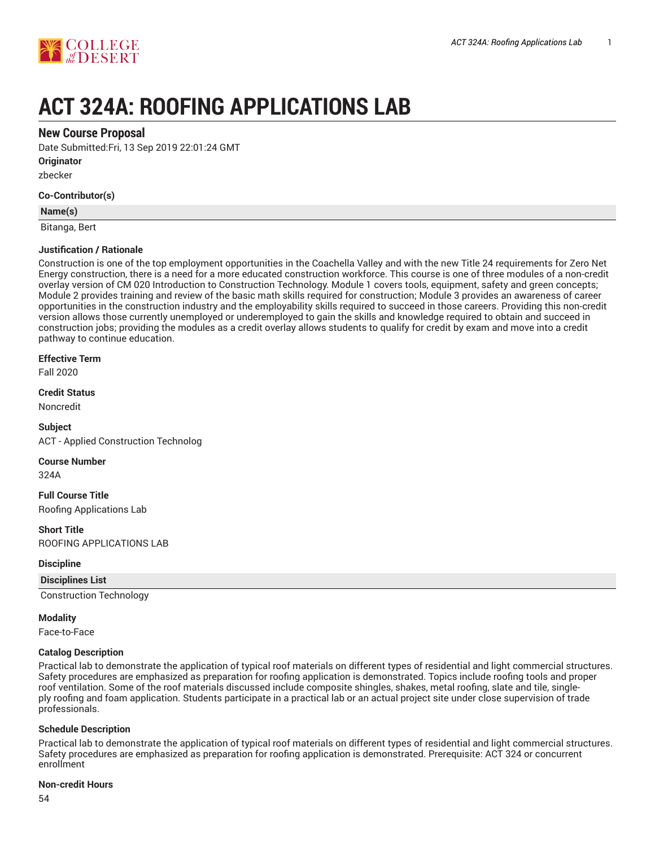

# **ACT 324A: ROOFING APPLICATIONS LAB**

## **New Course Proposal**

Date Submitted:Fri, 13 Sep 2019 22:01:24 GMT

**Originator**

zbecker

#### **Co-Contributor(s)**

#### **Name(s)**

Bitanga, Bert

#### **Justification / Rationale**

Construction is one of the top employment opportunities in the Coachella Valley and with the new Title 24 requirements for Zero Net Energy construction, there is a need for a more educated construction workforce. This course is one of three modules of a non-credit overlay version of CM 020 Introduction to Construction Technology. Module 1 covers tools, equipment, safety and green concepts; Module 2 provides training and review of the basic math skills required for construction; Module 3 provides an awareness of career opportunities in the construction industry and the employability skills required to succeed in those careers. Providing this non-credit version allows those currently unemployed or underemployed to gain the skills and knowledge required to obtain and succeed in construction jobs; providing the modules as a credit overlay allows students to qualify for credit by exam and move into a credit pathway to continue education.

#### **Effective Term**

Fall 2020

# **Credit Status**

Noncredit

**Subject** ACT - Applied Construction Technolog

**Course Number**

324A

**Full Course Title** Roofing Applications Lab

#### **Short Title**

ROOFING APPLICATIONS LAB

#### **Discipline**

**Disciplines List**

Construction Technology

#### **Modality**

Face-to-Face

#### **Catalog Description**

Practical lab to demonstrate the application of typical roof materials on different types of residential and light commercial structures. Safety procedures are emphasized as preparation for roofing application is demonstrated. Topics include roofing tools and proper roof ventilation. Some of the roof materials discussed include composite shingles, shakes, metal roofing, slate and tile, singleply roofing and foam application. Students participate in a practical lab or an actual project site under close supervision of trade professionals.

#### **Schedule Description**

Practical lab to demonstrate the application of typical roof materials on different types of residential and light commercial structures. Safety procedures are emphasized as preparation for roofing application is demonstrated. Prerequisite: ACT 324 or concurrent enrollment

#### **Non-credit Hours**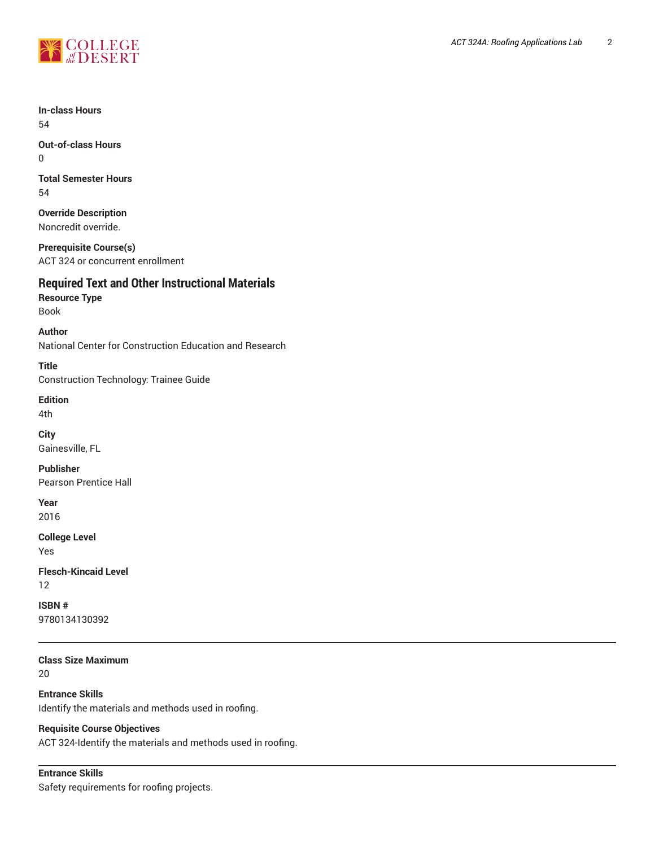

**In-class Hours** 54

**Out-of-class Hours** 0

**Total Semester Hours** 54

**Override Description** Noncredit override.

**Prerequisite Course(s)** ACT 324 or concurrent enrollment

# **Required Text and Other Instructional Materials**

**Resource Type** Book

**Author** National Center for Construction Education and Research

**Title** Construction Technology: Trainee Guide

**Edition**

4th

**City** Gainesville, FL

**Publisher** Pearson Prentice Hall

**Year**

2016

**College Level** Yes

**Flesch-Kincaid Level** 12

**ISBN #** 9780134130392

**Class Size Maximum**

20

**Entrance Skills** Identify the materials and methods used in roofing.

# **Requisite Course Objectives**

ACT 324-Identify the materials and methods used in roofing.

```
Entrance Skills
Safety requirements for roofing projects.
```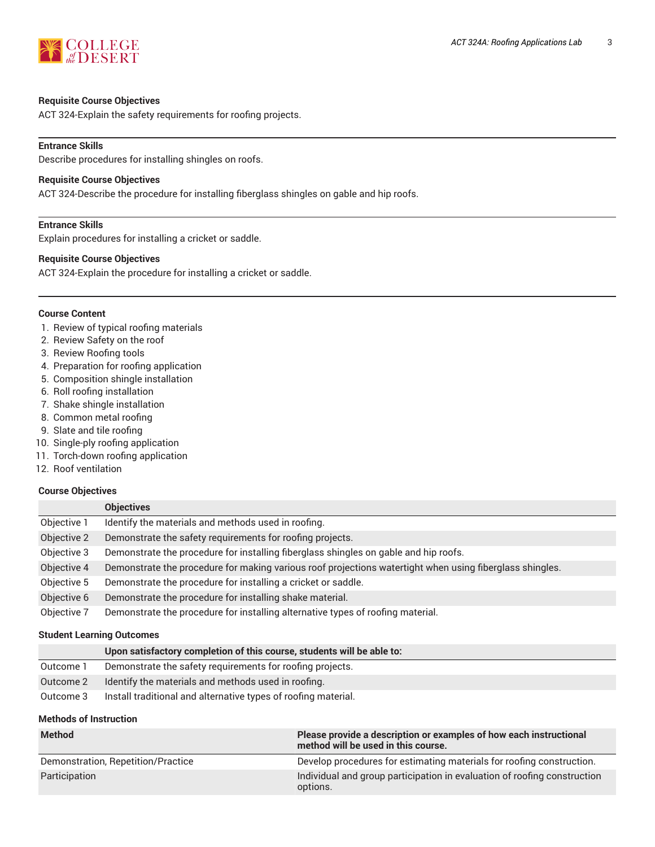

#### **Requisite Course Objectives**

ACT 324-Explain the safety requirements for roofing projects.

#### **Entrance Skills**

Describe procedures for installing shingles on roofs.

#### **Requisite Course Objectives**

ACT 324-Describe the procedure for installing fiberglass shingles on gable and hip roofs.

#### **Entrance Skills**

Explain procedures for installing a cricket or saddle.

#### **Requisite Course Objectives**

ACT 324-Explain the procedure for installing a cricket or saddle.

#### **Course Content**

- 1. Review of typical roofing materials
- 2. Review Safety on the roof
- 3. Review Roofing tools
- 4. Preparation for roofing application
- 5. Composition shingle installation
- 6. Roll roofing installation
- 7. Shake shingle installation
- 8. Common metal roofing
- 9. Slate and tile roofing
- 10. Single-ply roofing application
- 11. Torch-down roofing application
- 12. Roof ventilation

#### **Course Objectives**

|             | <b>Objectives</b>                                                                                        |
|-------------|----------------------------------------------------------------------------------------------------------|
| Objective 1 | Identify the materials and methods used in roofing.                                                      |
| Objective 2 | Demonstrate the safety requirements for roofing projects.                                                |
| Objective 3 | Demonstrate the procedure for installing fiberglass shingles on gable and hip roofs.                     |
| Objective 4 | Demonstrate the procedure for making various roof projections watertight when using fiberglass shingles. |
| Objective 5 | Demonstrate the procedure for installing a cricket or saddle.                                            |
| Objective 6 | Demonstrate the procedure for installing shake material.                                                 |
| Objective 7 | Demonstrate the procedure for installing alternative types of roofing material.                          |

#### **Student Learning Outcomes**

|           | Upon satisfactory completion of this course, students will be able to: |
|-----------|------------------------------------------------------------------------|
| Outcome 1 | Demonstrate the safety requirements for roofing projects.              |
| Outcome 2 | Identify the materials and methods used in roofing.                    |
| Outcome 3 | Install traditional and alternative types of roofing material.         |

#### **Methods of Instruction**

| <b>Method</b>                      | Please provide a description or examples of how each instructional<br>method will be used in this course. |
|------------------------------------|-----------------------------------------------------------------------------------------------------------|
| Demonstration, Repetition/Practice | Develop procedures for estimating materials for roofing construction.                                     |
| Participation                      | Individual and group participation in evaluation of roofing construction<br>options.                      |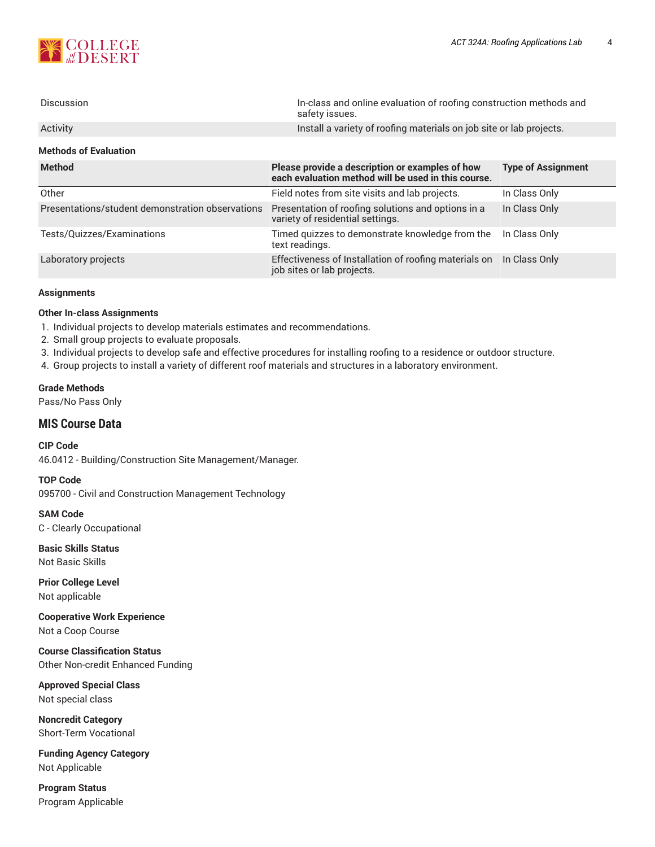

| <b>Discussion</b>                                | In-class and online evaluation of roofing construction methods and<br>safety issues.                   |                           |  |
|--------------------------------------------------|--------------------------------------------------------------------------------------------------------|---------------------------|--|
| Activity                                         | Install a variety of roofing materials on job site or lab projects.                                    |                           |  |
| <b>Methods of Evaluation</b>                     |                                                                                                        |                           |  |
| <b>Method</b>                                    | Please provide a description or examples of how<br>each evaluation method will be used in this course. | <b>Type of Assignment</b> |  |
| Other                                            | Field notes from site visits and lab projects.                                                         | In Class Only             |  |
| Presentations/student demonstration observations | Presentation of roofing solutions and options in a<br>variety of residential settings.                 | In Class Only             |  |
| Tests/Quizzes/Examinations                       | Timed quizzes to demonstrate knowledge from the<br>text readings.                                      | In Class Only             |  |
| Laboratory projects                              | Effectiveness of Installation of roofing materials on<br>job sites or lab projects.                    | In Class Only             |  |

#### **Assignments**

#### **Other In-class Assignments**

- 1. Individual projects to develop materials estimates and recommendations.
- 2. Small group projects to evaluate proposals.
- 3. Individual projects to develop safe and effective procedures for installing roofing to a residence or outdoor structure.
- 4. Group projects to install a variety of different roof materials and structures in a laboratory environment.

#### **Grade Methods**

Pass/No Pass Only

### **MIS Course Data**

**CIP Code** 46.0412 - Building/Construction Site Management/Manager.

**TOP Code** 095700 - Civil and Construction Management Technology

**SAM Code** C - Clearly Occupational

**Basic Skills Status** Not Basic Skills

**Prior College Level** Not applicable

**Cooperative Work Experience** Not a Coop Course

**Course Classification Status** Other Non-credit Enhanced Funding

**Approved Special Class** Not special class

**Noncredit Category** Short-Term Vocational

**Funding Agency Category** Not Applicable

**Program Status** Program Applicable